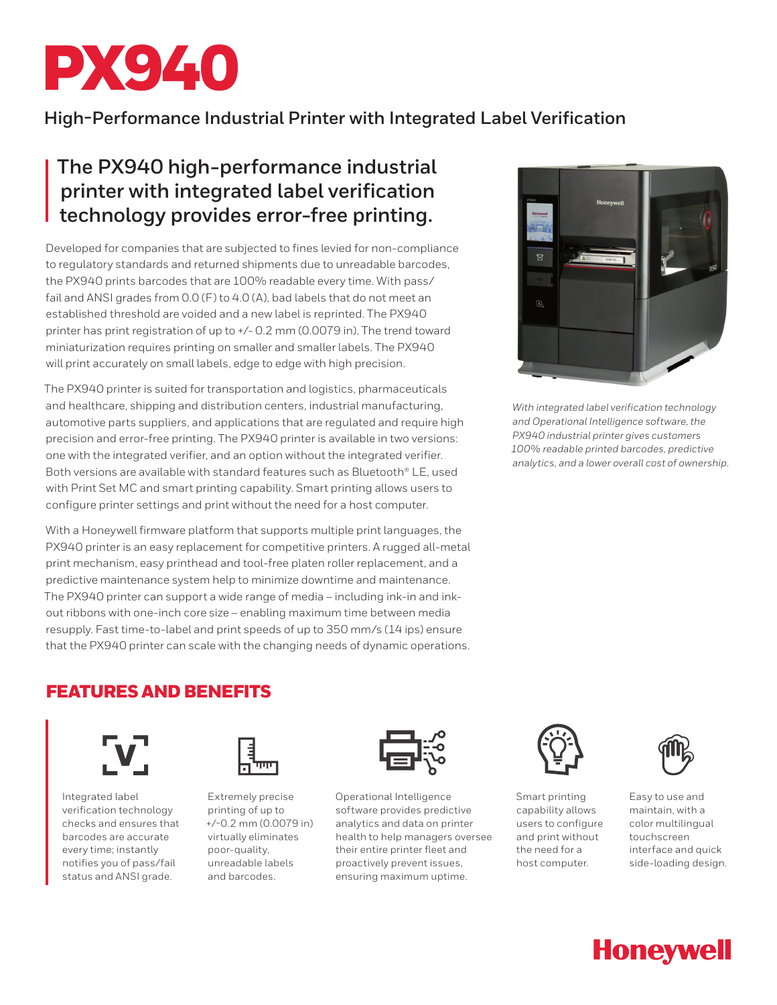

## **High-Performance Industrial Printer with Integrated Label Verification**

# **The PX940 high-performance industrial printer with integrated label verification technology provides error-free printing.**

Developed for companies that are subjected to fines levied for non-compliance to regulatory standards and returned shipments due to unreadable barcodes, the PX940 prints barcodes that are 100% readable every time. With pass/ fail and ANSI grades from 0.0 (F) to 4.0 (A), bad labels that do not meet an established threshold are voided and a new label is reprinted. The PX940 printer has print registration of up to +/- 0.2 mm (0.0079 in). The trend toward miniaturization requires printing on smaller and smaller labels. The PX940 will print accurately on small labels, edge to edge with high precision.

The PX940 printer is suited for transportation and logistics, pharmaceuticals and healthcare, shipping and distribution centers, industrial manufacturing, automotive parts suppliers, and applications that are regulated and require high precision and error-free printing. The PX940 printer is available in two versions: one with the integrated verifier, and an option without the integrated verifier. Both versions are available with standard features such as Bluetooth® LE, used with Print Set MC and smart printing capability. Smart printing allows users to configure printer settings and print without the need for a host computer.

With a Honeywell firmware platform that supports multiple print languages, the PX940 printer is an easy replacement for competitive printers. A rugged all-metal print mechanism, easy printhead and tool-free platen roller replacement, and a predictive maintenance system help to minimize downtime and maintenance. The PX940 printer can support a wide range of media – including ink-in and inkout ribbons with one-inch core size – enabling maximum time between media resupply. Fast time-to-label and print speeds of up to 350 mm/s (14 ips) ensure that the PX940 printer can scale with the changing needs of dynamic operations.



*With integrated label verification technology and Operational Intelligence software, the PX940 industrial printer gives customers 100% readable printed barcodes, predictive analytics, and a lower overall cost of ownership.*

### FEATURES AND BENEFITS



Integrated label verification technology checks and ensures that barcodes are accurate every time; instantly notifies you of pass/fail status and ANSI grade.



Extremely precise printing of up to +/-0.2 mm (0.0079 in) virtually eliminates poor-quality, unreadable labels and barcodes.



Operational Intelligence software provides predictive analytics and data on printer health to help managers oversee their entire printer fleet and proactively prevent issues, ensuring maximum uptime.



Smart printing capability allows users to configure and print without the need for a host computer.



Easy to use and maintain, with a color multilingual touchscreen interface and quick side-loading design.

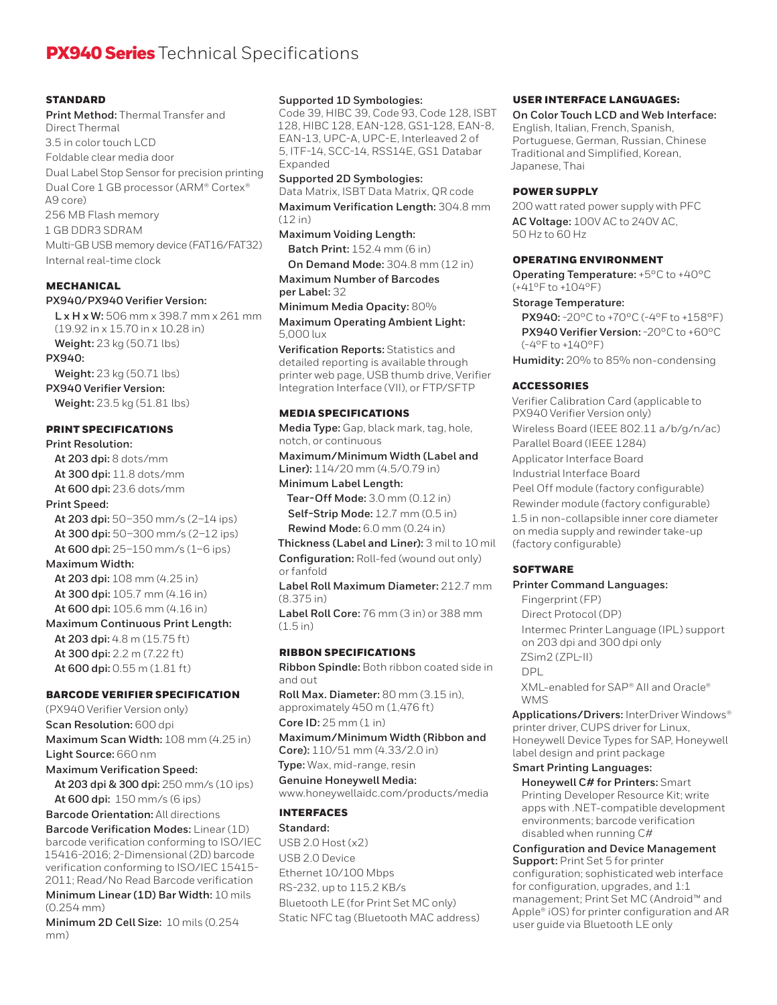### **PX940 Series** Technical Specifications

#### **STANDARD**

**Print Method:** Thermal Transfer and Direct Thermal 3.5 in color touch LCD Foldable clear media door Dual Label Stop Sensor for precision printing Dual Core 1 GB processor (ARM® Cortex® A9 core) 256 MB Flash memory 1 GB DDR3 SDRAM Multi-GB USB memory device (FAT16/FAT32) Internal real-time clock

#### **MECHANICAL**

#### **PX940/PX940 Verifier Version:**

**L x H x W:** 506 mm x 398.7 mm x 261 mm (19.92 in x 15.70 in x 10.28 in) **Weight:** 23 kg (50.71 lbs) **PX940: Weight:** 23 kg (50.71 lbs)

### **PX940 Verifier Version:**

**Weight:** 23.5 kg (51.81 lbs)

#### PRINT SPECIFICATIONS

**Print Resolution: At 203 dpi:** 8 dots/mm **At 300 dpi:** 11.8 dots/mm **At 600 dpi:** 23.6 dots/mm **Print Speed: At 203 dpi:** 50–350 mm/s (2–14 ips) **At 300 dpi:** 50–300 mm/s (2–12 ips) **At 600 dpi:** 25–150 mm/s (1–6 ips) **Maximum Width: At 203 dpi:** 108 mm (4.25 in) **At 300 dpi:** 105.7 mm (4.16 in) **At 600 dpi:** 105.6 mm (4.16 in) **Maximum Continuous Print Length: At 203 dpi:** 4.8 m (15.75 ft) **At 300 dpi:** 2.2 m (7.22 ft) **At 600 dpi:** 0.55 m (1.81 ft)

#### BARCODE VERIFIER SPECIFICATION

(PX940 Verifier Version only) **Scan Resolution:** 600 dpi **Maximum Scan Width:** 108 mm (4.25 in) **Light Source:** 660 nm **Maximum Verification Speed:**

**At 203 dpi & 300 dpi:** 250 mm/s (10 ips) **At 600 dpi:** 150 mm/s (6 ips)

**Barcode Orientation:** All directions **Barcode Verification Modes:** Linear (1D) barcode verification conforming to ISO/IEC 15416-2016; 2-Dimensional (2D) barcode verification conforming to ISO/IEC 15415- 2011; Read/No Read Barcode verification

**Minimum Linear (1D) Bar Width:** 10 mils (0.254 mm)

**Minimum 2D Cell Size:** 10 mils (0.254 mm)

#### **Supported 1D Symbologies:**

Code 39, HIBC 39, Code 93, Code 128, ISBT 128, HIBC 128, EAN-128, GS1-128, EAN-8, EAN-13, UPC-A, UPC-E, Interleaved 2 of 5, ITF-14, SCC-14, RSS14E, GS1 Databar Expanded

**Supported 2D Symbologies:** Data Matrix, ISBT Data Matrix, QR code **Maximum Verification Length:** 304.8 mm

(12 in) **Maximum Voiding Length:**

**Batch Print:** 152.4 mm (6 in) **On Demand Mode:** 304.8 mm (12 in)

**Maximum Number of Barcodes per Label:** 32 **Minimum Media Opacity:** 80%

**Maximum Operating Ambient Light:** 5,000 lux

**Verification Reports:** Statistics and detailed reporting is available through printer web page, USB thumb drive, Verifier Integration Interface (VII), or FTP/SFTP

#### MEDIA SPECIFICATIONS

**Media Type:** Gap, black mark, tag, hole, notch, or continuous

**Maximum/Minimum Width (Label and Liner):** 114/20 mm (4.5/0.79 in) **Minimum Label Length:**

**Tear-Off Mode:** 3.0 mm (0.12 in) **Self-Strip Mode:** 12.7 mm (0.5 in) **Rewind Mode:** 6.0 mm (0.24 in)

**Thickness (Label and Liner):** 3 mil to 10 mil **Configuration:** Roll-fed (wound out only) or fanfold

**Label Roll Maximum Diameter:** 212.7 mm (8.375 in)

**Label Roll Core:** 76 mm (3 in) or 388 mm  $(1.5 in)$ 

#### **DIRRON SPECIFICATIONS**

**Ribbon Spindle:** Both ribbon coated side in and out

**Roll Max. Diameter:** 80 mm (3.15 in), approximately 450 m (1,476 ft) **Core ID:** 25 mm (1 in)

**Maximum/Minimum Width (Ribbon and Core):** 110/51 mm (4.33/2.0 in)

**Type:** Wax, mid-range, resin

**Genuine Honeywell Media:** www.honeywellaidc.com/products/media

#### **INTERFACES**

**Standard:** USB 2.0 Host (x2) USB 2.0 Device Ethernet 10/100 Mbps RS-232, up to 115.2 KB/s Bluetooth LE (for Print Set MC only) Static NFC tag (Bluetooth MAC address)

#### USER INTERFACE LANGUAGES:

**On Color Touch LCD and Web Interface:** English, Italian, French, Spanish, Portuguese, German, Russian, Chinese Traditional and Simplified, Korean, Japanese, Thai

#### POWER SUPPLY

200 watt rated power supply with PFC **AC Voltage:** 100V AC to 240V AC, 50 Hz to 60 Hz

#### OPERATING ENVIRONMENT

**Operating Temperature:** +5°C to +40°C (+41°F to +104°F)

#### **Storage Temperature:**

**PX940:** -20°C to +70°C (-4°F to +158°F) **PX940 Verifier Version:** -20°C to +60°C (-4°F to +140°F)

**Humidity:** 20% to 85% non-condensing

#### ACCESSORIES

Verifier Calibration Card (applicable to PX940 Verifier Version only) Wireless Board (IEEE 802.11 a/b/g/n/ac) Parallel Board (IEEE 1284) Applicator Interface Board Industrial Interface Board Peel Off module (factory configurable) Rewinder module (factory configurable) 1.5 in non-collapsible inner core diameter on media supply and rewinder take-up (factory configurable)

#### **SOFTWARE**

**Printer Command Languages:**

Fingerprint (FP) Direct Protocol (DP) Intermec Printer Language (IPL) support on 203 dpi and 300 dpi only ZSim2 (ZPL-II) DPL

XML-enabled for SAP® AII and Oracle® **WMS** 

**Applications/Drivers:** InterDriver Windows® printer driver, CUPS driver for Linux, Honeywell Device Types for SAP, Honeywell label design and print package

#### **Smart Printing Languages:**

**Honeywell C# for Printers:** Smart Printing Developer Resource Kit; write apps with .NET-compatible development environments; barcode verification disabled when running C#

**Configuration and Device Management Support:** Print Set 5 for printer configuration; sophisticated web interface for configuration, upgrades, and 1:1 management; Print Set MC (Android™ and Apple® iOS) for printer configuration and AR user guide via Bluetooth LE only